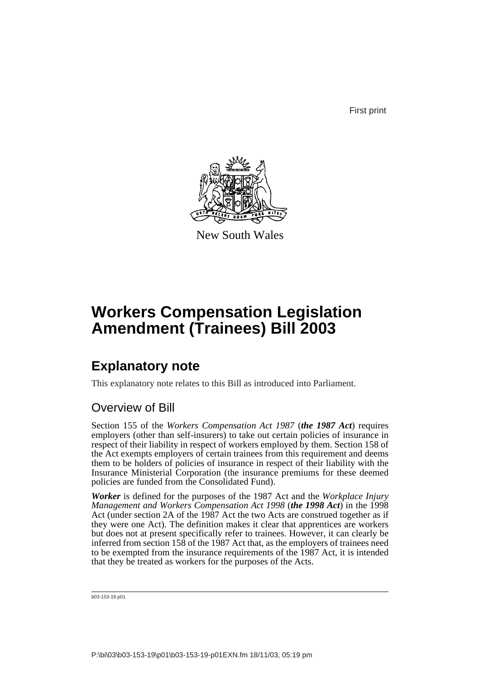First print



New South Wales

# **Workers Compensation Legislation Amendment (Trainees) Bill 2003**

## **Explanatory note**

This explanatory note relates to this Bill as introduced into Parliament.

## Overview of Bill

Section 155 of the *Workers Compensation Act 1987* (*the 1987 Act*) requires employers (other than self-insurers) to take out certain policies of insurance in respect of their liability in respect of workers employed by them. Section 158 of the Act exempts employers of certain trainees from this requirement and deems them to be holders of policies of insurance in respect of their liability with the Insurance Ministerial Corporation (the insurance premiums for these deemed policies are funded from the Consolidated Fund).

*Worker* is defined for the purposes of the 1987 Act and the *Workplace Injury Management and Workers Compensation Act 1998* (*the 1998 Act*) in the 1998 Act (under section 2A of the 1987 Act the two Acts are construed together as if they were one Act). The definition makes it clear that apprentices are workers but does not at present specifically refer to trainees. However, it can clearly be inferred from section 158 of the 1987 Act that, as the employers of trainees need to be exempted from the insurance requirements of the 1987 Act, it is intended that they be treated as workers for the purposes of the Acts.

b03-153-19.p01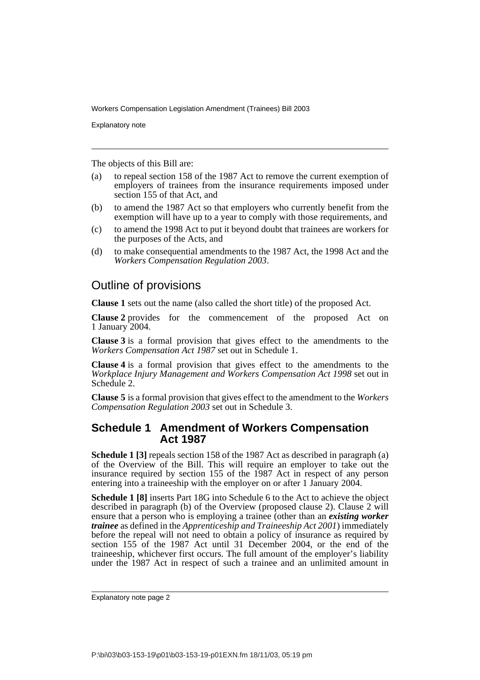Explanatory note

The objects of this Bill are:

- (a) to repeal section 158 of the 1987 Act to remove the current exemption of employers of trainees from the insurance requirements imposed under section 155 of that Act, and
- (b) to amend the 1987 Act so that employers who currently benefit from the exemption will have up to a year to comply with those requirements, and
- (c) to amend the 1998 Act to put it beyond doubt that trainees are workers for the purposes of the Acts, and
- (d) to make consequential amendments to the 1987 Act, the 1998 Act and the *Workers Compensation Regulation 2003*.

### Outline of provisions

**Clause 1** sets out the name (also called the short title) of the proposed Act.

**Clause 2** provides for the commencement of the proposed Act on 1 January 2004.

**Clause 3** is a formal provision that gives effect to the amendments to the *Workers Compensation Act 1987* set out in Schedule 1.

**Clause 4** is a formal provision that gives effect to the amendments to the *Workplace Injury Management and Workers Compensation Act 1998* set out in Schedule 2.

**Clause 5** is a formal provision that gives effect to the amendment to the *Workers Compensation Regulation 2003* set out in Schedule 3.

### **Schedule 1 Amendment of Workers Compensation Act 1987**

**Schedule 1 [3]** repeals section 158 of the 1987 Act as described in paragraph (a) of the Overview of the Bill. This will require an employer to take out the insurance required by section 155 of the 1987 Act in respect of any person entering into a traineeship with the employer on or after 1 January 2004.

**Schedule 1 [8]** inserts Part 18G into Schedule 6 to the Act to achieve the object described in paragraph (b) of the Overview (proposed clause 2). Clause 2 will ensure that a person who is employing a trainee (other than an *existing worker trainee* as defined in the *Apprenticeship and Traineeship Act 2001*) immediately before the repeal will not need to obtain a policy of insurance as required by section 155 of the 1987 Act until 31 December 2004, or the end of the traineeship, whichever first occurs. The full amount of the employer's liability under the 1987 Act in respect of such a trainee and an unlimited amount in

Explanatory note page 2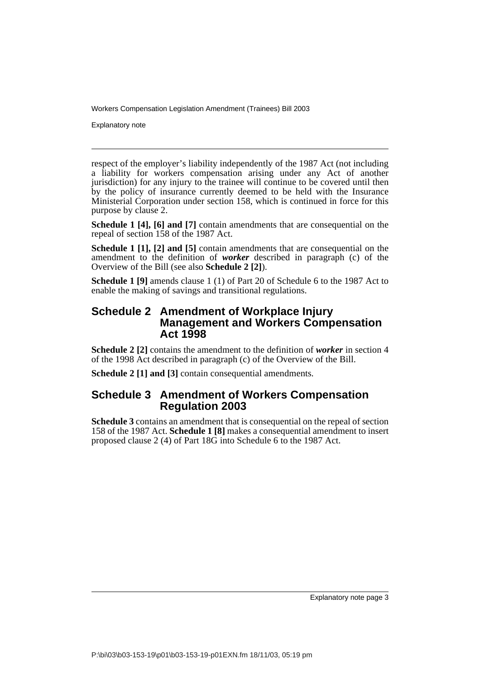Explanatory note

respect of the employer's liability independently of the 1987 Act (not including a liability for workers compensation arising under any Act of another jurisdiction) for any injury to the trainee will continue to be covered until then by the policy of insurance currently deemed to be held with the Insurance Ministerial Corporation under section 158, which is continued in force for this purpose by clause 2.

**Schedule 1 [4], [6] and [7]** contain amendments that are consequential on the repeal of section 158 of the 1987 Act.

**Schedule 1 [1], [2] and [5]** contain amendments that are consequential on the amendment to the definition of *worker* described in paragraph (c) of the Overview of the Bill (see also **Schedule 2 [2]**).

**Schedule 1 [9]** amends clause 1 (1) of Part 20 of Schedule 6 to the 1987 Act to enable the making of savings and transitional regulations.

### **Schedule 2 Amendment of Workplace Injury Management and Workers Compensation Act 1998**

**Schedule 2 [2]** contains the amendment to the definition of *worker* in section 4 of the 1998 Act described in paragraph (c) of the Overview of the Bill.

**Schedule 2 [1] and [3]** contain consequential amendments.

### **Schedule 3 Amendment of Workers Compensation Regulation 2003**

**Schedule 3** contains an amendment that is consequential on the repeal of section 158 of the 1987 Act. **Schedule 1 [8]** makes a consequential amendment to insert proposed clause 2 (4) of Part 18G into Schedule 6 to the 1987 Act.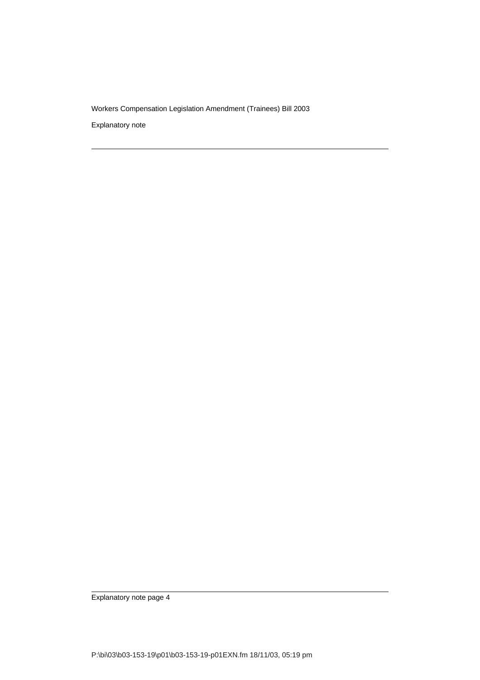Explanatory note

Explanatory note page 4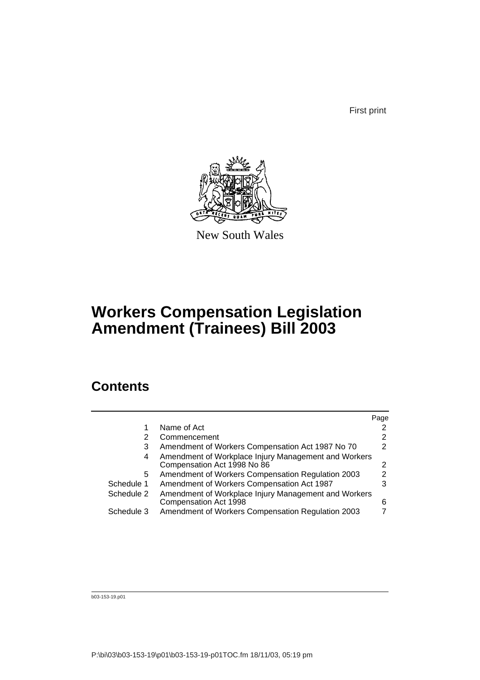First print



New South Wales

# **Workers Compensation Legislation Amendment (Trainees) Bill 2003**

## **Contents**

|            |                                                                                     | Page |
|------------|-------------------------------------------------------------------------------------|------|
|            | Name of Act                                                                         | 2    |
| 2          | Commencement                                                                        | 2    |
| 3          | Amendment of Workers Compensation Act 1987 No 70                                    | 2    |
| 4          | Amendment of Workplace Injury Management and Workers<br>Compensation Act 1998 No 86 | 2    |
| 5          | Amendment of Workers Compensation Regulation 2003                                   | 2    |
| Schedule 1 | Amendment of Workers Compensation Act 1987                                          | 3    |
| Schedule 2 | Amendment of Workplace Injury Management and Workers<br>Compensation Act 1998       | 6    |
| Schedule 3 | Amendment of Workers Compensation Regulation 2003                                   |      |
|            |                                                                                     |      |

b03-153-19.p01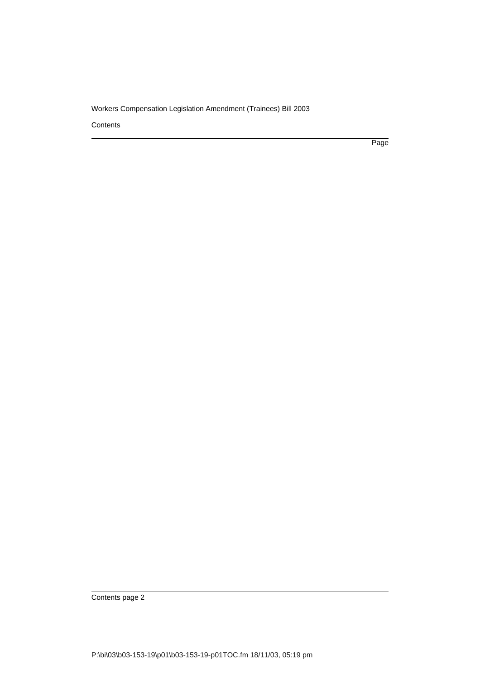**Contents** 

Page

Contents page 2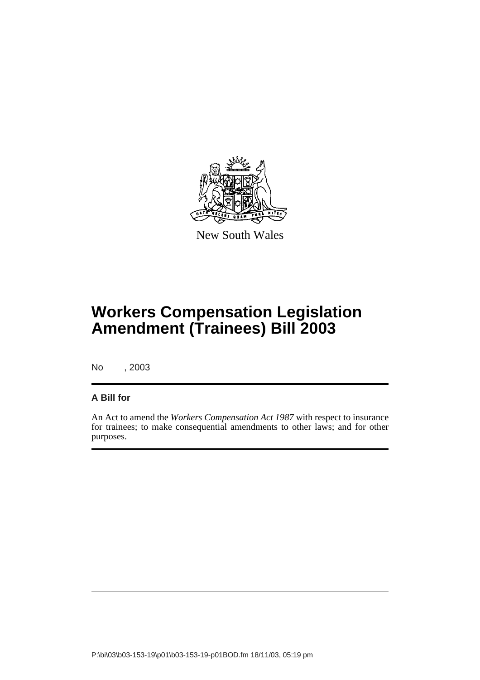

New South Wales

# **Workers Compensation Legislation Amendment (Trainees) Bill 2003**

No , 2003

### **A Bill for**

An Act to amend the *Workers Compensation Act 1987* with respect to insurance for trainees; to make consequential amendments to other laws; and for other purposes.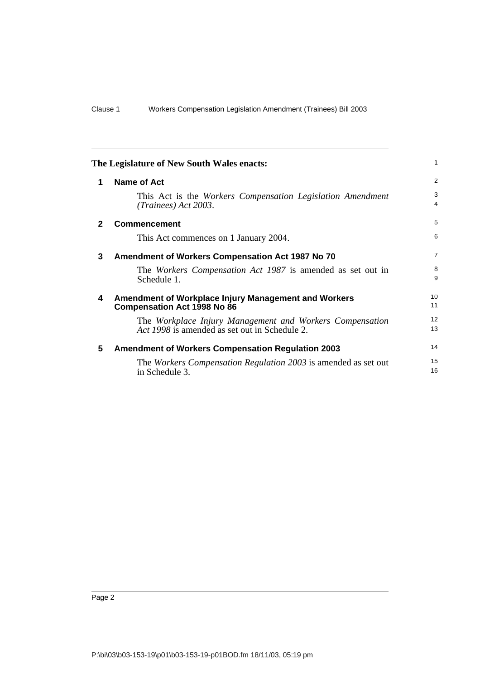<span id="page-7-4"></span><span id="page-7-3"></span><span id="page-7-2"></span><span id="page-7-1"></span><span id="page-7-0"></span>

|              | The Legislature of New South Wales enacts:                                                                | 1              |
|--------------|-----------------------------------------------------------------------------------------------------------|----------------|
| 1            | <b>Name of Act</b>                                                                                        | 2              |
|              | This Act is the Workers Compensation Legislation Amendment<br>(Trainees) Act 2003.                        | 3<br>4         |
| $\mathbf{2}$ | <b>Commencement</b>                                                                                       | 5              |
|              | This Act commences on 1 January 2004.                                                                     | 6              |
| 3            | Amendment of Workers Compensation Act 1987 No 70                                                          | $\overline{7}$ |
|              | The Workers Compensation Act 1987 is amended as set out in<br>Schedule 1.                                 | 8<br>9         |
| 4            | Amendment of Workplace Injury Management and Workers<br><b>Compensation Act 1998 No 86</b>                | 10<br>11       |
|              | The Workplace Injury Management and Workers Compensation<br>Act 1998 is amended as set out in Schedule 2. | 12<br>13       |
| 5            | <b>Amendment of Workers Compensation Regulation 2003</b>                                                  | 14             |
|              | The Workers Compensation Regulation 2003 is amended as set out<br>in Schedule 3.                          | 15<br>16       |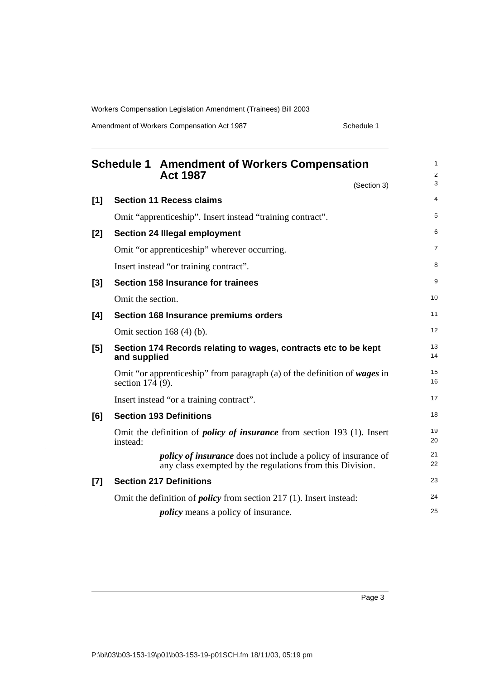Amendment of Workers Compensation Act 1987 Material Contract 1987

 $\bar{\mathcal{A}}$ 

 $\bar{z}$ 

<span id="page-8-0"></span>

| <b>Schedule 1 Amendment of Workers Compensation</b><br><b>Act 1987</b> |                   | $\mathbf{1}$<br>$\overline{2}$                                                                                                    |                  |
|------------------------------------------------------------------------|-------------------|-----------------------------------------------------------------------------------------------------------------------------------|------------------|
|                                                                        |                   |                                                                                                                                   | 3<br>(Section 3) |
| [1]                                                                    |                   | <b>Section 11 Recess claims</b>                                                                                                   | 4                |
|                                                                        |                   | Omit "apprenticeship". Insert instead "training contract".                                                                        | 5                |
| [2]                                                                    |                   | <b>Section 24 Illegal employment</b>                                                                                              | 6                |
|                                                                        |                   | Omit "or apprenticeship" wherever occurring.                                                                                      | 7                |
|                                                                        |                   | Insert instead "or training contract".                                                                                            | 8                |
| $[3]$                                                                  |                   | <b>Section 158 Insurance for trainees</b>                                                                                         | 9                |
|                                                                        | Omit the section. |                                                                                                                                   | 10               |
| [4]                                                                    |                   | Section 168 Insurance premiums orders                                                                                             | 11               |
|                                                                        |                   | Omit section $168(4)(b)$ .                                                                                                        | 12               |
| [5]                                                                    | and supplied      | Section 174 Records relating to wages, contracts etc to be kept                                                                   | 13<br>14         |
|                                                                        | section 174 (9).  | Omit "or apprenticeship" from paragraph (a) of the definition of wages in                                                         | 15<br>16         |
|                                                                        |                   | Insert instead "or a training contract".                                                                                          | 17               |
| [6]                                                                    |                   | <b>Section 193 Definitions</b>                                                                                                    | 18               |
|                                                                        | instead:          | Omit the definition of <i>policy of insurance</i> from section 193 (1). Insert                                                    | 19<br>20         |
|                                                                        |                   | <i>policy of insurance</i> does not include a policy of insurance of<br>any class exempted by the regulations from this Division. | 21<br>22         |
| $[7]$                                                                  |                   | <b>Section 217 Definitions</b>                                                                                                    | 23               |
|                                                                        |                   | Omit the definition of <i>policy</i> from section 217 (1). Insert instead:                                                        | 24               |
|                                                                        |                   | <i>policy</i> means a policy of insurance.                                                                                        | 25               |

Page 3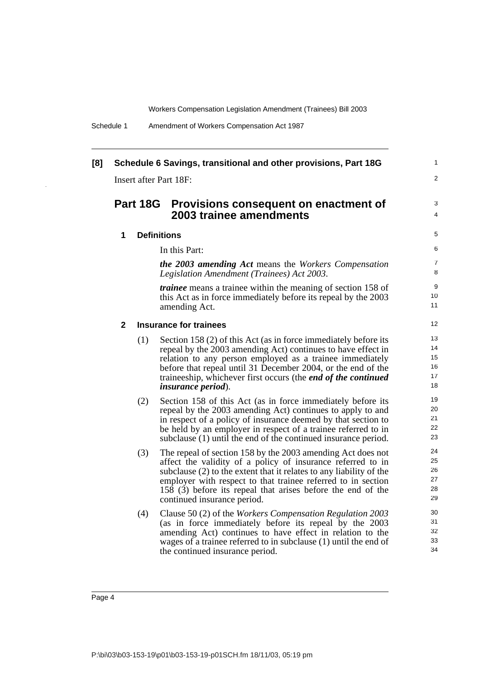Schedule 1 Amendment of Workers Compensation Act 1987

#### **[8] Schedule 6 Savings, transitional and other provisions, Part 18G**

Insert after Part 18F:

### **Part 18G Provisions consequent on enactment of 2003 trainee amendments**

**1 Definitions**

In this Part:

*the 2003 amending Act* means the *Workers Compensation Legislation Amendment (Trainees) Act 2003*.

1  $\mathfrak{p}$ 

3 4

*trainee* means a trainee within the meaning of section 158 of this Act as in force immediately before its repeal by the 2003 amending Act.

#### **2 Insurance for trainees**

- (1) Section 158 (2) of this Act (as in force immediately before its repeal by the 2003 amending Act) continues to have effect in relation to any person employed as a trainee immediately before that repeal until 31 December 2004, or the end of the traineeship, whichever first occurs (the *end of the continued insurance period*).
- (2) Section 158 of this Act (as in force immediately before its repeal by the 2003 amending Act) continues to apply to and in respect of a policy of insurance deemed by that section to be held by an employer in respect of a trainee referred to in subclause (1) until the end of the continued insurance period.
- (3) The repeal of section 158 by the 2003 amending Act does not affect the validity of a policy of insurance referred to in subclause (2) to the extent that it relates to any liability of the employer with respect to that trainee referred to in section 158 (3) before its repeal that arises before the end of the continued insurance period.
- (4) Clause 50 (2) of the *Workers Compensation Regulation 2003* (as in force immediately before its repeal by the 2003 amending Act) continues to have effect in relation to the wages of a trainee referred to in subclause (1) until the end of the continued insurance period.

Page 4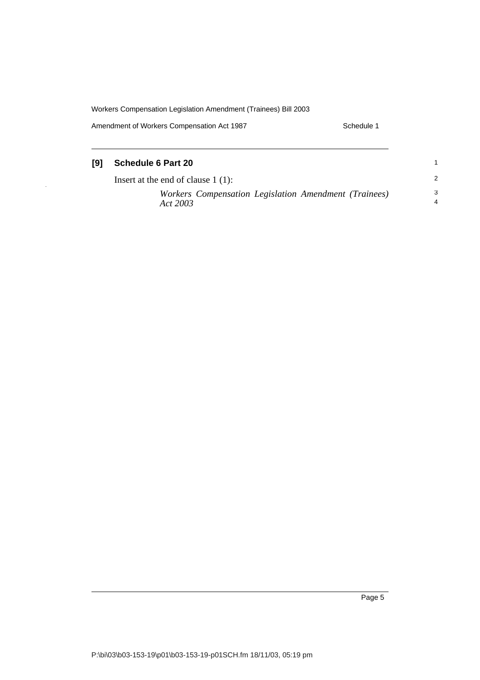Amendment of Workers Compensation Act 1987 Material Contract 1987

| [9] | <b>Schedule 6 Part 20</b>                                         |               |
|-----|-------------------------------------------------------------------|---------------|
|     | Insert at the end of clause $1(1)$ :                              | $\mathcal{P}$ |
|     | Workers Compensation Legislation Amendment (Trainees)<br>Act 2003 | 3<br>4        |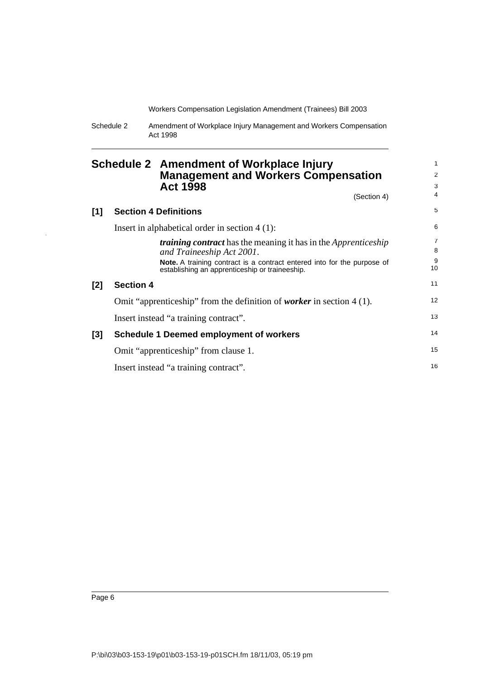Schedule 2 Amendment of Workplace Injury Management and Workers Compensation Act 1998

### <span id="page-11-0"></span>**Schedule 2 Amendment of Workplace Injury Management and Workers Compensation Act 1998** (Section 4)

| [1] | <b>Section 4 Definitions</b>                                                                                                     | 5                    |
|-----|----------------------------------------------------------------------------------------------------------------------------------|----------------------|
|     | Insert in alphabetical order in section $4(1)$ :                                                                                 | 6                    |
|     | <i>training contract</i> has the meaning it has in the <i>Apprenticeship</i><br>and Traineeship Act 2001.                        | $\overline{7}$<br>8  |
|     | <b>Note.</b> A training contract is a contract entered into for the purpose of<br>establishing an apprenticeship or traineeship. | 9<br>10 <sup>1</sup> |
| [2] | <b>Section 4</b>                                                                                                                 | 11                   |
|     | Omit "apprenticeship" from the definition of <i>worker</i> in section $4(1)$ .                                                   | 12                   |
|     | Insert instead "a training contract".                                                                                            | 13                   |
| [3] | <b>Schedule 1 Deemed employment of workers</b>                                                                                   | 14                   |
|     | Omit "apprenticeship" from clause 1.                                                                                             | 15                   |
|     | Insert instead "a training contract".                                                                                            | 16                   |